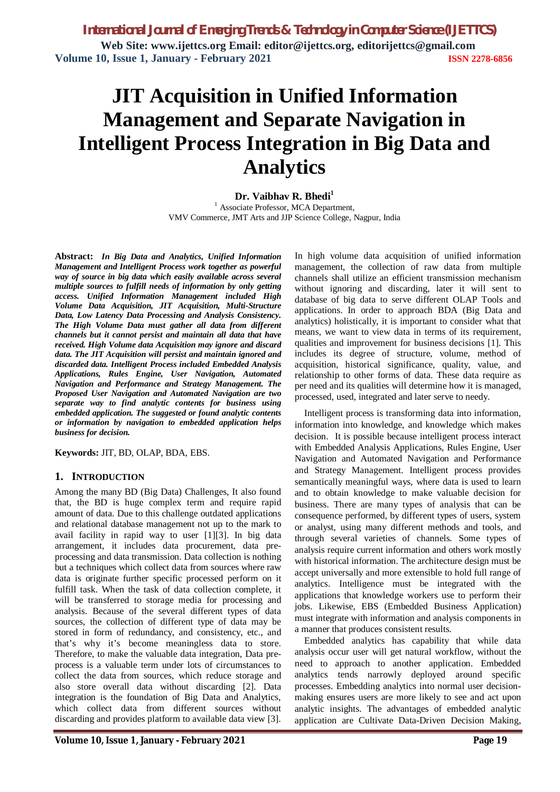*International Journal of Emerging Trends & Technology in Computer Science (IJETTCS)* **Web Site: www.ijettcs.org Email: editor@ijettcs.org, editorijettcs@gmail.com Volume 10, Issue 1, January - February 2021 ISSN 2278-6856**

# **JIT Acquisition in Unified Information Management and Separate Navigation in Intelligent Process Integration in Big Data and Analytics**

**Dr. Vaibhav R. Bhedi<sup>1</sup>** <sup>1</sup> Associate Professor, MCA Department, VMV Commerce, JMT Arts and JJP Science College, Nagpur, India

**Abstract:** *In Big Data and Analytics, Unified Information Management and Intelligent Process work together as powerful way of source in big data which easily available across several multiple sources to fulfill needs of information by only getting access. Unified Information Management included High Volume Data Acquisition, JIT Acquisition, Multi-Structure Data, Low Latency Data Processing and Analysis Consistency. The High Volume Data must gather all data from different channels but it cannot persist and maintain all data that have received. High Volume data Acquisition may ignore and discard data. The JIT Acquisition will persist and maintain ignored and discarded data. Intelligent Process included Embedded Analysis Applications, Rules Engine, User Navigation, Automated Navigation and Performance and Strategy Management. The Proposed User Navigation and Automated Navigation are two separate way to find analytic contents for business using embedded application. The suggested or found analytic contents or information by navigation to embedded application helps business for decision.*

**Keywords:** JIT, BD, OLAP, BDA, EBS.

### **1. INTRODUCTION**

Among the many BD (Big Data) Challenges, It also found that, the BD is huge complex term and require rapid amount of data. Due to this challenge outdated applications and relational database management not up to the mark to avail facility in rapid way to user [1][3]. In big data arrangement, it includes data procurement, data preprocessing and data transmission. Data collection is nothing but a techniques which collect data from sources where raw data is originate further specific processed perform on it fulfill task. When the task of data collection complete, it will be transferred to storage media for processing and analysis. Because of the several different types of data sources, the collection of different type of data may be stored in form of redundancy, and consistency, etc., and that's why it's become meaningless data to store. Therefore, to make the valuable data integration, Data preprocess is a valuable term under lots of circumstances to collect the data from sources, which reduce storage and also store overall data without discarding [2]. Data integration is the foundation of Big Data and Analytics, which collect data from different sources without discarding and provides platform to available data view [3].

In high volume data acquisition of unified information management, the collection of raw data from multiple channels shall utilize an efficient transmission mechanism without ignoring and discarding, later it will sent to database of big data to serve different OLAP Tools and applications. In order to approach BDA (Big Data and analytics) holistically, it is important to consider what that means, we want to view data in terms of its requirement, qualities and improvement for business decisions [1]. This includes its degree of structure, volume, method of acquisition, historical significance, quality, value, and relationship to other forms of data. These data require as per need and its qualities will determine how it is managed, processed, used, integrated and later serve to needy.

Intelligent process is transforming data into information, information into knowledge, and knowledge which makes decision. It is possible because intelligent process interact with Embedded Analysis Applications, Rules Engine, User Navigation and Automated Navigation and Performance and Strategy Management. Intelligent process provides semantically meaningful ways, where data is used to learn and to obtain knowledge to make valuable decision for business. There are many types of analysis that can be consequence performed, by different types of users, system or analyst, using many different methods and tools, and through several varieties of channels. Some types of analysis require current information and others work mostly with historical information. The architecture design must be accept universally and more extensible to hold full range of analytics. Intelligence must be integrated with the applications that knowledge workers use to perform their jobs. Likewise, EBS (Embedded Business Application) must integrate with information and analysis components in a manner that produces consistent results.

Embedded analytics has capability that while data analysis occur user will get natural workflow, without the need to approach to another application. Embedded analytics tends narrowly deployed around specific processes. Embedding analytics into normal user decisionmaking ensures users are more likely to see and act upon analytic insights. The advantages of embedded analytic application are Cultivate Data-Driven Decision Making,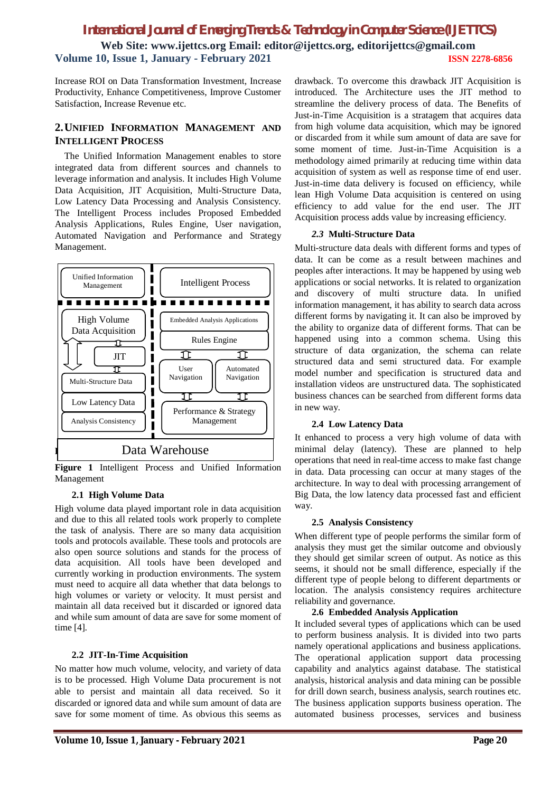### *International Journal of Emerging Trends & Technology in Computer Science (IJETTCS)* **Web Site: www.ijettcs.org Email: editor@ijettcs.org, editorijettcs@gmail.com Volume 10, Issue 1, January - February 2021 ISSN 2278-6856**

Increase ROI on Data Transformation Investment, Increase Productivity, Enhance Competitiveness, Improve Customer Satisfaction, Increase Revenue etc.

### **2.UNIFIED INFORMATION MANAGEMENT AND INTELLIGENT PROCESS**

The Unified Information Management enables to store integrated data from different sources and channels to leverage information and analysis. It includes High Volume Data Acquisition, JIT Acquisition, Multi-Structure Data, Low Latency Data Processing and Analysis Consistency. The Intelligent Process includes Proposed Embedded Analysis Applications, Rules Engine, User navigation, Automated Navigation and Performance and Strategy Management.



**Figure 1** Intelligent Process and Unified Information Management

### **2.1 High Volume Data**

High volume data played important role in data acquisition and due to this all related tools work properly to complete the task of analysis. There are so many data acquisition tools and protocols available. These tools and protocols are also open source solutions and stands for the process of data acquisition. All tools have been developed and currently working in production environments. The system must need to acquire all data whether that data belongs to high volumes or variety or velocity. It must persist and maintain all data received but it discarded or ignored data and while sum amount of data are save for some moment of time [4].

### **2.2 JIT-In-Time Acquisition**

No matter how much volume, velocity, and variety of data is to be processed. High Volume Data procurement is not able to persist and maintain all data received. So it discarded or ignored data and while sum amount of data are save for some moment of time. As obvious this seems as

drawback. To overcome this drawback JIT Acquisition is introduced. The Architecture uses the JIT method to streamline the delivery process of data. The Benefits of Just-in-Time Acquisition is a stratagem that acquires data from high volume data acquisition, which may be ignored or discarded from it while sum amount of data are save for some moment of time. Just-in-Time Acquisition is a methodology aimed primarily at reducing time within data acquisition of system as well as response time of end user. Just-in-time data delivery is focused on efficiency, while lean High Volume Data acquisition is centered on using efficiency to add value for the end user. The JIT Acquisition process adds value by increasing efficiency.

### *2.3* **Multi-Structure Data**

Multi-structure data deals with different forms and types of data. It can be come as a result between machines and peoples after interactions. It may be happened by using web applications or social networks. It is related to organization and discovery of multi structure data. In unified information management, it has ability to search data across different forms by navigating it. It can also be improved by the ability to organize data of different forms. That can be happened using into a common schema. Using this structure of data organization, the schema can relate structured data and semi structured data. For example model number and specification is structured data and installation videos are unstructured data. The sophisticated business chances can be searched from different forms data in new way.

### **2.4 Low Latency Data**

It enhanced to process a very high volume of data with minimal delay (latency). These are planned to help operations that need in real-time access to make fast change in data. Data processing can occur at many stages of the architecture. In way to deal with processing arrangement of Big Data, the low latency data processed fast and efficient way.

#### **2.5 Analysis Consistency**

When different type of people performs the similar form of analysis they must get the similar outcome and obviously they should get similar screen of output. As notice as this seems, it should not be small difference, especially if the different type of people belong to different departments or location. The analysis consistency requires architecture reliability and governance.

### **2.6 Embedded Analysis Application**

It included several types of applications which can be used to perform business analysis. It is divided into two parts namely operational applications and business applications. The operational application support data processing capability and analytics against database. The statistical analysis, historical analysis and data mining can be possible for drill down search, business analysis, search routines etc. The business application supports business operation. The automated business processes, services and business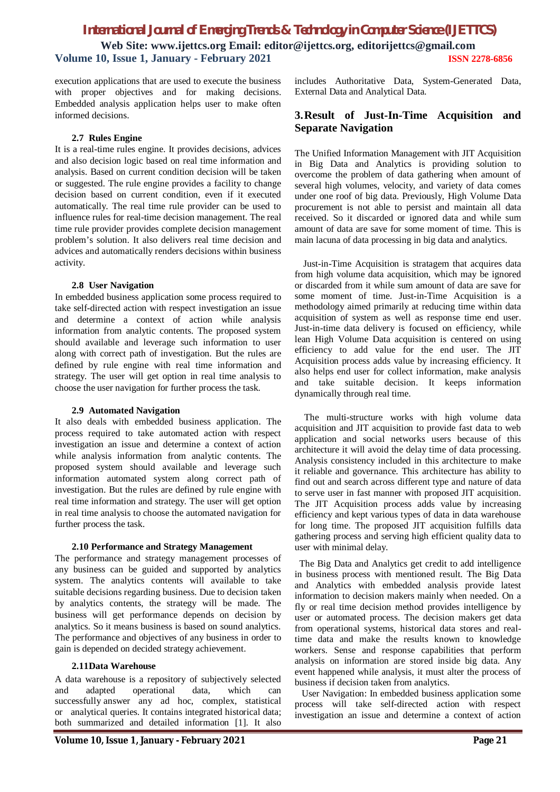### *International Journal of Emerging Trends & Technology in Computer Science (IJETTCS)* **Web Site: www.ijettcs.org Email: editor@ijettcs.org, editorijettcs@gmail.com Volume 10, Issue 1, January - February 2021 ISSN 2278-6856**

execution applications that are used to execute the business with proper objectives and for making decisions. Embedded analysis application helps user to make often informed decisions.

#### **2.7 Rules Engine**

It is a real-time rules engine. It provides decisions, advices and also decision logic based on real time information and analysis. Based on current condition decision will be taken or suggested. The rule engine provides a facility to change decision based on current condition, even if it executed automatically. The real time rule provider can be used to influence rules for real-time decision management. The real time rule provider provides complete decision management problem's solution. It also delivers real time decision and advices and automatically renders decisions within business activity.

#### **2.8 User Navigation**

In embedded business application some process required to take self-directed action with respect investigation an issue and determine a context of action while analysis information from analytic contents. The proposed system should available and leverage such information to user along with correct path of investigation. But the rules are defined by rule engine with real time information and strategy. The user will get option in real time analysis to choose the user navigation for further process the task.

### **2.9 Automated Navigation**

It also deals with embedded business application. The process required to take automated action with respect investigation an issue and determine a context of action while analysis information from analytic contents. The proposed system should available and leverage such information automated system along correct path of investigation. But the rules are defined by rule engine with real time information and strategy. The user will get option in real time analysis to choose the automated navigation for further process the task.

### **2.10 Performance and Strategy Management**

The performance and strategy management processes of any business can be guided and supported by analytics system. The analytics contents will available to take suitable decisions regarding business. Due to decision taken by analytics contents, the strategy will be made. The business will get performance depends on decision by analytics. So it means business is based on sound analytics. The performance and objectives of any business in order to gain is depended on decided strategy achievement.

### **2.11Data Warehouse**

A data warehouse is a repository of subjectively selected and adapted operational data, which can successfully answer any ad hoc, complex, statistical or analytical queries. It contains integrated historical data; both summarized and detailed information [1]. It also

includes Authoritative Data, System-Generated Data, External Data and Analytical Data.

### **3.Result of Just-In-Time Acquisition and Separate Navigation**

The Unified Information Management with JIT Acquisition in Big Data and Analytics is providing solution to overcome the problem of data gathering when amount of several high volumes, velocity, and variety of data comes under one roof of big data. Previously, High Volume Data procurement is not able to persist and maintain all data received. So it discarded or ignored data and while sum amount of data are save for some moment of time. This is main lacuna of data processing in big data and analytics.

Just-in-Time Acquisition is stratagem that acquires data from high volume data acquisition, which may be ignored or discarded from it while sum amount of data are save for some moment of time. Just-in-Time Acquisition is a methodology aimed primarily at reducing time within data acquisition of system as well as response time end user. Just-in-time data delivery is focused on efficiency, while lean High Volume Data acquisition is centered on using efficiency to add value for the end user. The JIT Acquisition process adds value by increasing efficiency. It also helps end user for collect information, make analysis and take suitable decision. It keeps information dynamically through real time.

The multi-structure works with high volume data acquisition and JIT acquisition to provide fast data to web application and social networks users because of this architecture it will avoid the delay time of data processing. Analysis consistency included in this architecture to make it reliable and governance. This architecture has ability to find out and search across different type and nature of data to serve user in fast manner with proposed JIT acquisition. The JIT Acquisition process adds value by increasing efficiency and kept various types of data in data warehouse for long time. The proposed JIT acquisition fulfills data gathering process and serving high efficient quality data to user with minimal delay.

 The Big Data and Analytics get credit to add intelligence in business process with mentioned result. The Big Data and Analytics with embedded analysis provide latest information to decision makers mainly when needed. On a fly or real time decision method provides intelligence by user or automated process. The decision makers get data from operational systems, historical data stores and realtime data and make the results known to knowledge workers. Sense and response capabilities that perform analysis on information are stored inside big data. Any event happened while analysis, it must alter the process of business if decision taken from analytics.

 User Navigation: In embedded business application some process will take self-directed action with respect investigation an issue and determine a context of action